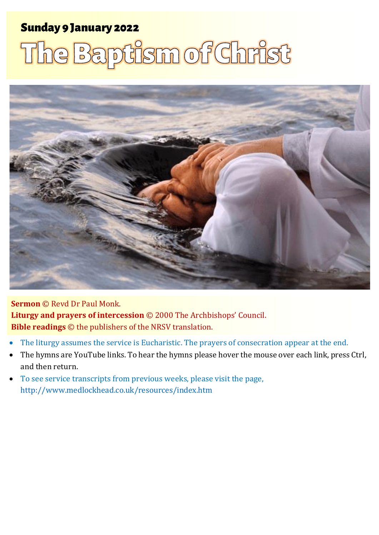#### Sunday 9 January 2022 1 The Baptism of Christ Sunday 9 January 2022

# The Baptism of Christ



**Sermon** © Revd Dr Paul Monk. **Liturgy and prayers of intercession** © 2000 The Archbishops' Council. **Bible readings** © the publishers of the NRSV translation.

- The liturgy assumes the service is Eucharistic. The prayers of consecration appear at the end.
- The hymns are YouTube links. To hear the hymns please hover the mouse over each link, press Ctrl, and then return.
- To see service transcripts from previous weeks, please visit the page, <http://www.medlockhead.co.uk/resources/index.htm>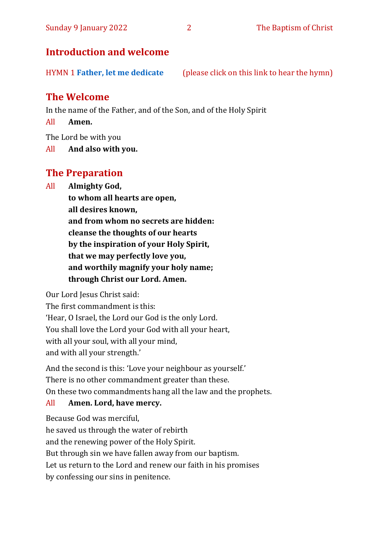#### **Introduction and welcome**

HYMN 1 **[Father, let me dedicate](https://www.youtube.com/watch?v=8ECifOtH0zk)** (please click on this link to hear the hymn)

#### **The Welcome**

In the name of the Father, and of the Son, and of the Holy Spirit

All **Amen.**

The Lord be with you

All **And also with you.**

#### **The Preparation**

All **Almighty God,**

**to whom all hearts are open, all desires known, and from whom no secrets are hidden: cleanse the thoughts of our hearts by the inspiration of your Holy Spirit, that we may perfectly love you, and worthily magnify your holy name;**

**through Christ our Lord. Amen.**

Our Lord Jesus Christ said:

The first commandment is this: 'Hear, O Israel, the Lord our God is the only Lord. You shall love the Lord your God with all your heart, with all your soul, with all your mind, and with all your strength.'

And the second is this: 'Love your neighbour as yourself.' There is no other commandment greater than these. On these two commandments hang all the law and the prophets.

#### All **Amen. Lord, have mercy.**

Because God was merciful, he saved us through the water of rebirth and the renewing power of the Holy Spirit. But through sin we have fallen away from our baptism. Let us return to the Lord and renew our faith in his promises by confessing our sins in penitence.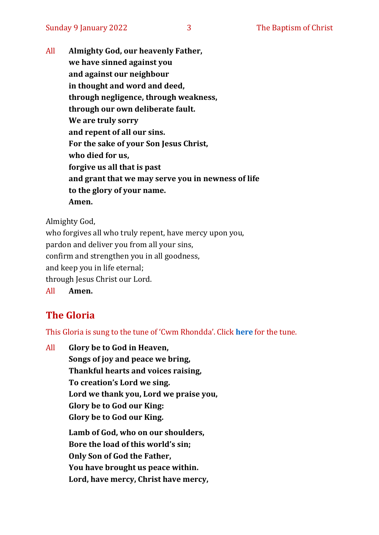All **Almighty God, our heavenly Father, we have sinned against you and against our neighbour in thought and word and deed, through negligence, through weakness, through our own deliberate fault. We are truly sorry and repent of all our sins. For the sake of your Son Jesus Christ, who died for us, forgive us all that is past and grant that we may serve you in newness of life to the glory of your name. Amen.**

Almighty God,

who forgives all who truly repent, have mercy upon you, pardon and deliver you from all your sins, confirm and strengthen you in all goodness, and keep you in life eternal; through Jesus Christ our Lord. All **Amen.**

#### **The Gloria**

This Gloria is sung to the tune of 'Cwm Rhondda'. Click **[here](about:blank)** for the tune.

All **Glory be to God in Heaven, Songs of joy and peace we bring, Thankful hearts and voices raising, To creation's Lord we sing. Lord we thank you, Lord we praise you, Glory be to God our King: Glory be to God our King. Lamb of God, who on our shoulders, Bore the load of this world's sin; Only Son of God the Father, You have brought us peace within.**

**Lord, have mercy, Christ have mercy,**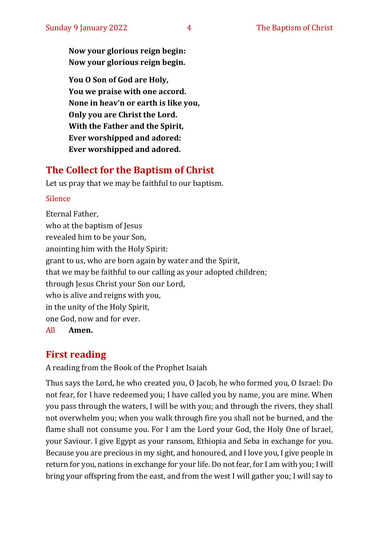**Now your glorious reign begin: Now your glorious reign begin.**

**You O Son of God are Holy, You we praise with one accord. None in heav'n or earth is like you, Only you are Christ the Lord. With the Father and the Spirit, Ever worshipped and adored: Ever worshipped and adored.**

#### **The Collect for the Baptism of Christ**

Let us pray that we may be faithful to our baptism.

#### Silence

Eternal Father, who at the baptism of Jesus revealed him to be your Son, anointing him with the Holy Spirit: grant to us, who are born again by water and the Spirit, that we may be faithful to our calling as your adopted children; through Jesus Christ your Son our Lord, who is alive and reigns with you, in the unity of the Holy Spirit, one God, now and for ever. All **Amen.**

#### **First reading**

A reading from the Book of the Prophet Isaiah

Thus says the Lord, he who created you, O Jacob, he who formed you, O Israel: Do not fear, for I have redeemed you; I have called you by name, you are mine. When you pass through the waters, I will be with you; and through the rivers, they shall not overwhelm you; when you walk through fire you shall not be burned, and the flame shall not consume you. For I am the Lord your God, the Holy One of Israel, your Saviour. I give Egypt as your ransom, Ethiopia and Seba in exchange for you. Because you are precious in my sight, and honoured, and I love you, I give people in return for you, nations in exchange for your life. Do not fear, for I am with you; I will bring your offspring from the east, and from the west I will gather you; I will say to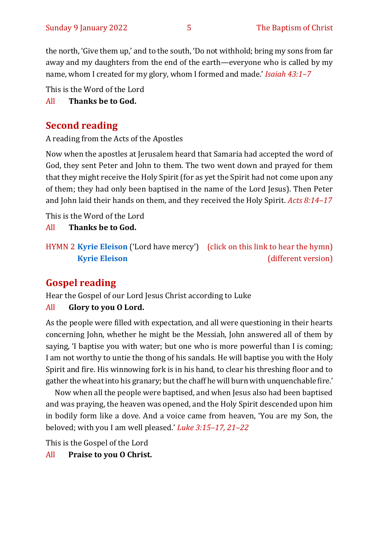the north, 'Give them up,' and to the south, 'Do not withhold; bring my sons from far away and my daughters from the end of the earth—everyone who is called by my name, whom I created for my glory, whom I formed and made.' *Isaiah 43:1–7*

This is the Word of the Lord

All **Thanks be to God.**

#### **Second reading**

A reading from the Acts of the Apostles

Now when the apostles at Jerusalem heard that Samaria had accepted the word of God, they sent Peter and John to them. The two went down and prayed for them that they might receive the Holy Spirit (for as yet the Spirit had not come upon any of them; they had only been baptised in the name of the Lord Jesus). Then Peter and John laid their hands on them, and they received the Holy Spirit. *Acts 8:14–17*

This is the Word of the Lord

All **Thanks be to God.**

### **Gospel reading**

Hear the Gospel of our Lord Jesus Christ according to Luke

#### All **Glory to you O Lord.**

As the people were filled with expectation, and all were questioning in their hearts concerning John, whether he might be the Messiah, John answered all of them by saying, 'I baptise you with water; but one who is more powerful than I is coming; I am not worthy to untie the thong of his sandals. He will baptise you with the Holy Spirit and fire. His winnowing fork is in his hand, to clear his threshing floor and to gather the wheat into his granary; but the chaff he will burn with unquenchable fire.'

Now when all the people were baptised, and when Jesus also had been baptised and was praying, the heaven was opened, and the Holy Spirit descended upon him in bodily form like a dove. And a voice came from heaven, 'You are my Son, the beloved; with you I am well pleased.' *Luke 3:15–17, 21–22*

This is the Gospel of the Lord

All **Praise to you O Christ.** 

HYMN 2 **[Kyrie Eleison](https://www.youtube.com/watch?v=mAZC4oe9VM0)** ('Lord have mercy') (click on this link to hear the hymn) **[Kyrie Eleison](https://www.youtube.com/watch?v=P59u9KhdNy4)** (different version)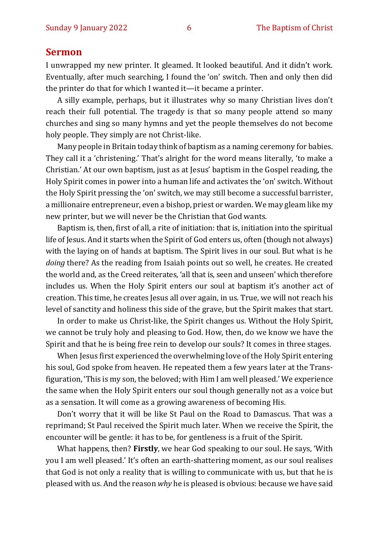#### **Sermon**

I unwrapped my new printer. It gleamed. It looked beautiful. And it didn't work. Eventually, after much searching, I found the 'on' switch. Then and only then did the printer do that for which I wanted it—it became a printer.

A silly example, perhaps, but it illustrates why so many Christian lives don't reach their full potential. The tragedy is that so many people attend so many churches and sing so many hymns and yet the people themselves do not become holy people. They simply are not Christ-like.

Many people in Britain today think of baptism as a naming ceremony for babies. They call it a 'christening.' That's alright for the word means literally, 'to make a Christian.' At our own baptism, just as at Jesus' baptism in the Gospel reading, the Holy Spirit comes in power into a human life and activates the 'on' switch. Without the Holy Spirit pressing the 'on' switch, we may still become a successful barrister, a millionaire entrepreneur, even a bishop, priest or warden. We may gleam like my new printer, but we will never be the Christian that God wants.

Baptism is, then, first of all, a rite of initiation: that is, initiation into the spiritual life of Jesus. And it starts when the Spirit of God enters us, often (though not always) with the laying on of hands at baptism. The Spirit lives in our soul. But what is he *doing* there? As the reading from Isaiah points out so well, he creates. He created the world and, as the Creed reiterates, 'all that is, seen and unseen' which therefore includes us. When the Holy Spirit enters our soul at baptism it's another act of creation. This time, he creates Jesus all over again, in us. True, we will not reach his level of sanctity and holiness this side of the grave, but the Spirit makes that start.

In order to make us Christ-like, the Spirit changes us. Without the Holy Spirit, we cannot be truly holy and pleasing to God. How, then, do we know we have the Spirit and that he is being free rein to develop our souls? It comes in three stages.

When Jesus first experienced the overwhelming love of the Holy Spirit entering his soul, God spoke from heaven. He repeated them a few years later at the Transfiguration, 'This is my son, the beloved; with Him I am well pleased.' We experience the same when the Holy Spirit enters our soul though generally not as a voice but as a sensation. It will come as a growing awareness of becoming His.

Don't worry that it will be like St Paul on the Road to Damascus. That was a reprimand; St Paul received the Spirit much later. When we receive the Spirit, the encounter will be gentle: it has to be, for gentleness is a fruit of the Spirit.

What happens, then? **Firstly**, we hear God speaking to our soul. He says, 'With you I am well pleased.' It's often an earth-shattering moment, as our soul realises that God is not only a reality that is willing to communicate with us, but that he is pleased with us. And the reason *why* he is pleased is obvious: because we have said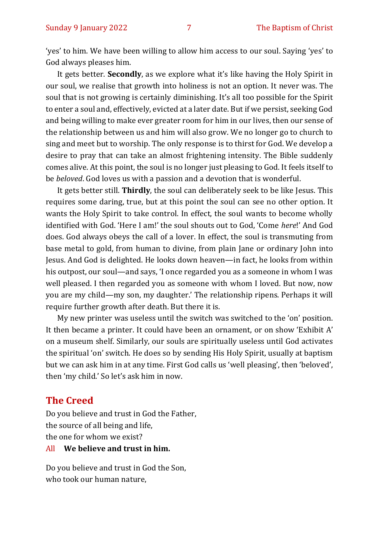'yes' to him. We have been willing to allow him access to our soul. Saying 'yes' to God always pleases him.

It gets better. **Secondly**, as we explore what it's like having the Holy Spirit in our soul, we realise that growth into holiness is not an option. It never was. The soul that is not growing is certainly diminishing. It's all too possible for the Spirit to enter a soul and, effectively, evicted at a later date. But if we persist, seeking God and being willing to make ever greater room for him in our lives, then our sense of the relationship between us and him will also grow. We no longer go to church to sing and meet but to worship. The only response is to thirst for God. We develop a desire to pray that can take an almost frightening intensity. The Bible suddenly comes alive. At this point, the soul is no longer just pleasing to God. It feels itself to be *beloved*. God loves us with a passion and a devotion that is wonderful.

It gets better still. **Thirdly**, the soul can deliberately seek to be like Jesus. This requires some daring, true, but at this point the soul can see no other option. It wants the Holy Spirit to take control. In effect, the soul wants to become wholly identified with God. 'Here I am!' the soul shouts out to God, 'Come *here*!' And God does. God always obeys the call of a lover. In effect, the soul is transmuting from base metal to gold, from human to divine, from plain Jane or ordinary John into Jesus. And God is delighted. He looks down heaven—in fact, he looks from within his outpost, our soul—and says, 'I once regarded you as a someone in whom I was well pleased. I then regarded you as someone with whom I loved. But now, now you are my child—my son, my daughter.' The relationship ripens. Perhaps it will require further growth after death. But there it is.

My new printer was useless until the switch was switched to the 'on' position. It then became a printer. It could have been an ornament, or on show 'Exhibit A' on a museum shelf. Similarly, our souls are spiritually useless until God activates the spiritual 'on' switch. He does so by sending His Holy Spirit, usually at baptism but we can ask him in at any time. First God calls us 'well pleasing', then 'beloved', then 'my child.' So let's ask him in now.

#### **The Creed**

Do you believe and trust in God the Father, the source of all being and life, the one for whom we exist? All **We believe and trust in him.**

Do you believe and trust in God the Son, who took our human nature,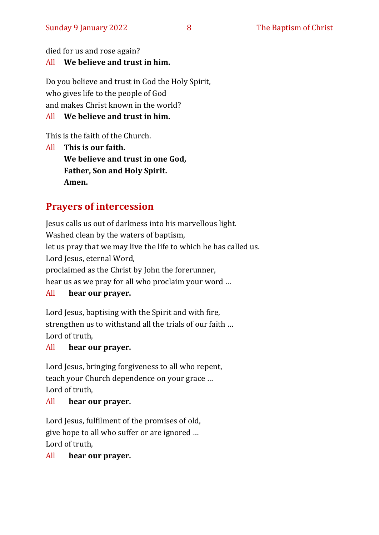died for us and rose again?

#### All **We believe and trust in him.**

Do you believe and trust in God the Holy Spirit, who gives life to the people of God and makes Christ known in the world?

#### All **We believe and trust in him.**

This is the faith of the Church.

All **This is our faith. We believe and trust in one God, Father, Son and Holy Spirit. Amen.**

#### **Prayers of intercession**

Jesus calls us out of darkness into his marvellous light. Washed clean by the waters of baptism, let us pray that we may live the life to which he has called us. Lord Jesus, eternal Word, proclaimed as the Christ by John the forerunner, hear us as we pray for all who proclaim your word …

#### All **hear our prayer.**

Lord Jesus, baptising with the Spirit and with fire, strengthen us to withstand all the trials of our faith … Lord of truth,

#### All **hear our prayer.**

Lord Jesus, bringing forgiveness to all who repent, teach your Church dependence on your grace … Lord of truth,

#### All **hear our prayer.**

Lord Jesus, fulfilment of the promises of old, give hope to all who suffer or are ignored … Lord of truth,

#### All **hear our prayer.**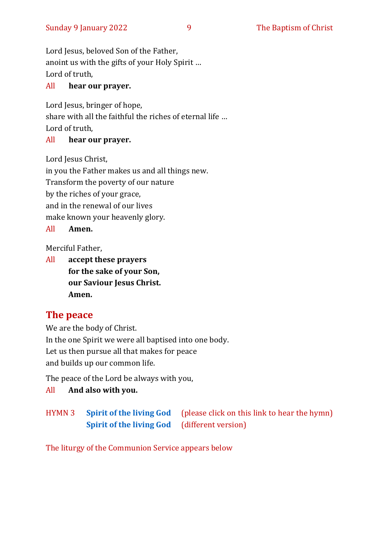Lord Jesus, beloved Son of the Father, anoint us with the gifts of your Holy Spirit … Lord of truth,

#### All **hear our prayer.**

Lord Jesus, bringer of hope, share with all the faithful the riches of eternal life … Lord of truth,

#### All **hear our prayer.**

Lord Jesus Christ,

in you the Father makes us and all things new.

Transform the poverty of our nature

by the riches of your grace,

and in the renewal of our lives

make known your heavenly glory.

All **Amen.**

Merciful Father,

All **accept these prayers for the sake of your Son, our Saviour Jesus Christ. Amen.**

#### **The peace**

We are the body of Christ. In the one Spirit we were all baptised into one body. Let us then pursue all that makes for peace and builds up our common life.

The peace of the Lord be always with you,

All **And also with you.**

HYMN 3 **[Spirit of the living God](https://www.youtube.com/watch?v=06h3J5FYn-I)** (please click on this link to hear the hymn) **[Spirit of the living God](https://www.youtube.com/watch?v=ZPZrxZgQjrg)** (different version)

The liturgy of the Communion Service appears below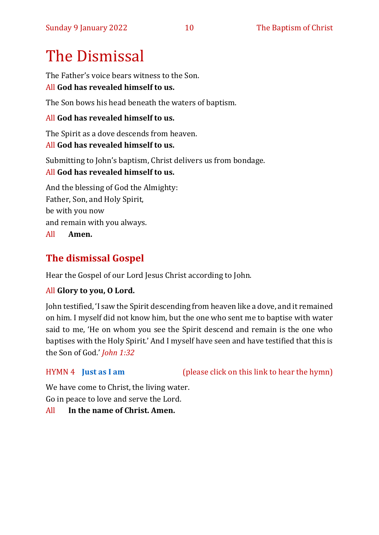# The Dismissal

The Father's voice bears witness to the Son.

#### All **God has revealed himself to us.**

The Son bows his head beneath the waters of baptism.

#### All **God has revealed himself to us.**

The Spirit as a dove descends from heaven. All **God has revealed himself to us.**

Submitting to John's baptism, Christ delivers us from bondage. All **God has revealed himself to us.**

And the blessing of God the Almighty: Father, Son, and Holy Spirit, be with you now and remain with you always. All **Amen.**

#### **The dismissal Gospel**

Hear the Gospel of our Lord Jesus Christ according to John.

#### All **Glory to you, O Lord.**

John testified, 'I saw the Spirit descending from heaven like a dove, and it remained on him. I myself did not know him, but the one who sent me to baptise with water said to me, 'He on whom you see the Spirit descend and remain is the one who baptises with the Holy Spirit.' And I myself have seen and have testified that this is the Son of God.' *John 1:32*

HYMN 4 **[Just as I am](https://www.youtube.com/watch?v=6tdmQh-MIIA)** (please click on this link to hear the hymn)

We have come to Christ, the living water. Go in peace to love and serve the Lord.

#### All **In the name of Christ. Amen.**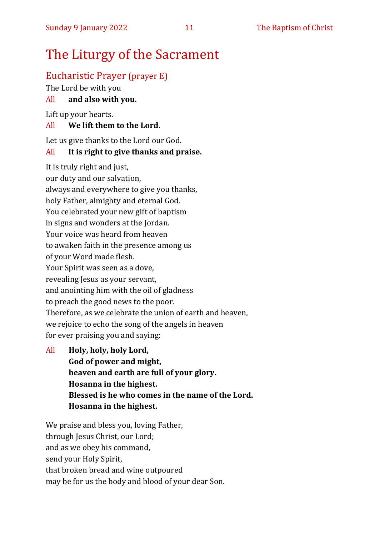## The Liturgy of the Sacrament

#### Eucharistic Prayer (prayer E)

The Lord be with you

#### All **and also with you.**

Lift up your hearts.

#### All **We lift them to the Lord.**

Let us give thanks to the Lord our God.

#### All **It is right to give thanks and praise.**

It is truly right and just, our duty and our salvation, always and everywhere to give you thanks, holy Father, almighty and eternal God. You celebrated your new gift of baptism in signs and wonders at the Jordan. Your voice was heard from heaven to awaken faith in the presence among us of your Word made flesh. Your Spirit was seen as a dove, revealing Jesus as your servant, and anointing him with the oil of gladness to preach the good news to the poor. Therefore, as we celebrate the union of earth and heaven, we rejoice to echo the song of the angels in heaven for ever praising you and saying:

All **Holy, holy, holy Lord, God of power and might, heaven and earth are full of your glory. Hosanna in the highest. Blessed is he who comes in the name of the Lord. Hosanna in the highest.**

We praise and bless you, loving Father, through Jesus Christ, our Lord; and as we obey his command, send your Holy Spirit, that broken bread and wine outpoured may be for us the body and blood of your dear Son.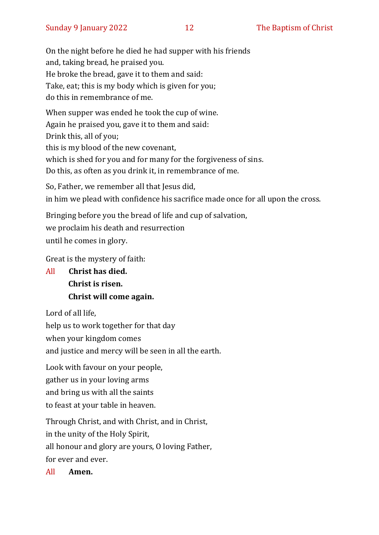On the night before he died he had supper with his friends and, taking bread, he praised you. He broke the bread, gave it to them and said: Take, eat; this is my body which is given for you; do this in remembrance of me.

When supper was ended he took the cup of wine. Again he praised you, gave it to them and said: Drink this, all of you; this is my blood of the new covenant, which is shed for you and for many for the forgiveness of sins. Do this, as often as you drink it, in remembrance of me.

So, Father, we remember all that Jesus did, in him we plead with confidence his sacrifice made once for all upon the cross.

Bringing before you the bread of life and cup of salvation, we proclaim his death and resurrection until he comes in glory.

Great is the mystery of faith:

All **Christ has died. Christ is risen. Christ will come again.**

Lord of all life,

help us to work together for that day

when your kingdom comes

and justice and mercy will be seen in all the earth.

Look with favour on your people,

gather us in your loving arms

and bring us with all the saints

to feast at your table in heaven.

Through Christ, and with Christ, and in Christ,

in the unity of the Holy Spirit,

all honour and glory are yours, O loving Father,

for ever and ever.

All **Amen.**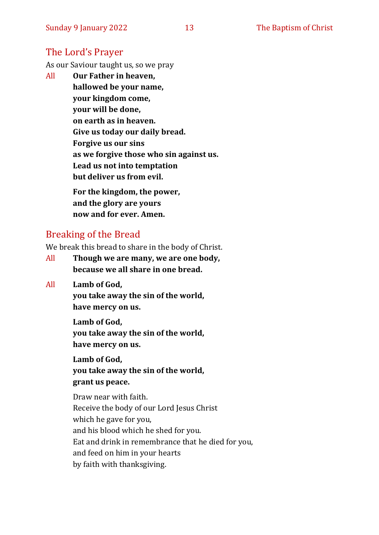#### The Lord's Prayer

As our Saviour taught us, so we pray

All **Our Father in heaven, hallowed be your name, your kingdom come, your will be done, on earth as in heaven. Give us today our daily bread. Forgive us our sins as we forgive those who sin against us. Lead us not into temptation but deliver us from evil. For the kingdom, the power,** 

**and the glory are yours now and for ever. Amen.**

#### Breaking of the Bread

We break this bread to share in the body of Christ.

- All **Though we are many, we are one body, because we all share in one bread.**
- All **Lamb of God,**

**you take away the sin of the world, have mercy on us.**

**Lamb of God,** 

**you take away the sin of the world, have mercy on us.**

**Lamb of God,** 

**you take away the sin of the world, grant us peace.**

Draw near with faith. Receive the body of our Lord Jesus Christ which he gave for you, and his blood which he shed for you. Eat and drink in remembrance that he died for you, and feed on him in your hearts by faith with thanksgiving.